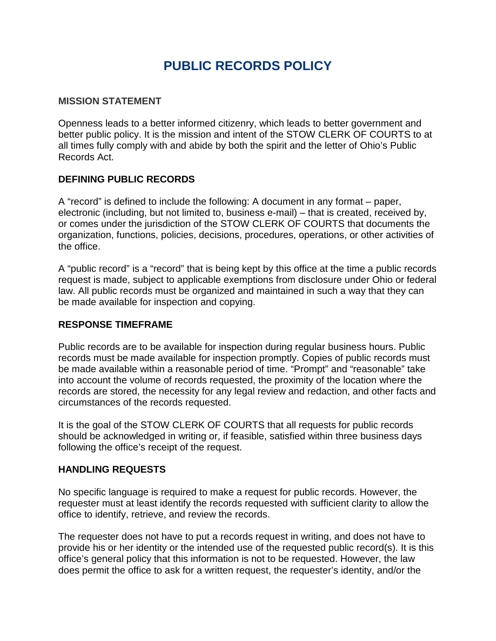# **PUBLIC RECORDS POLICY**

#### **MISSION STATEMENT**

Openness leads to a better informed citizenry, which leads to better government and better public policy. It is the mission and intent of the STOW CLERK OF COURTS to at all times fully comply with and abide by both the spirit and the letter of Ohio's Public Records Act.

#### **DEFINING PUBLIC RECORDS**

A "record" is defined to include the following: A document in any format – paper, electronic (including, but not limited to, business e-mail) – that is created, received by, or comes under the jurisdiction of the STOW CLERK OF COURTS that documents the organization, functions, policies, decisions, procedures, operations, or other activities of the office.

A "public record" is a "record" that is being kept by this office at the time a public records request is made, subject to applicable exemptions from disclosure under Ohio or federal law. All public records must be organized and maintained in such a way that they can be made available for inspection and copying.

#### **RESPONSE TIMEFRAME**

Public records are to be available for inspection during regular business hours. Public records must be made available for inspection promptly. Copies of public records must be made available within a reasonable period of time. "Prompt" and "reasonable" take into account the volume of records requested, the proximity of the location where the records are stored, the necessity for any legal review and redaction, and other facts and circumstances of the records requested.

It is the goal of the STOW CLERK OF COURTS that all requests for public records should be acknowledged in writing or, if feasible, satisfied within three business days following the office's receipt of the request.

#### **HANDLING REQUESTS**

No specific language is required to make a request for public records. However, the requester must at least identify the records requested with sufficient clarity to allow the office to identify, retrieve, and review the records.

The requester does not have to put a records request in writing, and does not have to provide his or her identity or the intended use of the requested public record(s). It is this office's general policy that this information is not to be requested. However, the law does permit the office to ask for a written request, the requester's identity, and/or the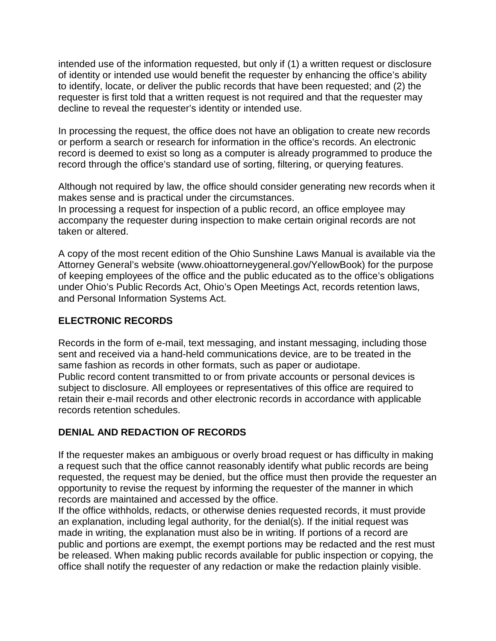intended use of the information requested, but only if (1) a written request or disclosure of identity or intended use would benefit the requester by enhancing the office's ability to identify, locate, or deliver the public records that have been requested; and (2) the requester is first told that a written request is not required and that the requester may decline to reveal the requester's identity or intended use.

In processing the request, the office does not have an obligation to create new records or perform a search or research for information in the office's records. An electronic record is deemed to exist so long as a computer is already programmed to produce the record through the office's standard use of sorting, filtering, or querying features.

Although not required by law, the office should consider generating new records when it makes sense and is practical under the circumstances.

In processing a request for inspection of a public record, an office employee may accompany the requester during inspection to make certain original records are not taken or altered.

A copy of the most recent edition of the Ohio Sunshine Laws Manual is available via the Attorney General's website (www.ohioattorneygeneral.gov/YellowBook) for the purpose of keeping employees of the office and the public educated as to the office's obligations under Ohio's Public Records Act, Ohio's Open Meetings Act, records retention laws, and Personal Information Systems Act.

## **ELECTRONIC RECORDS**

Records in the form of e-mail, text messaging, and instant messaging, including those sent and received via a hand-held communications device, are to be treated in the same fashion as records in other formats, such as paper or audiotape. Public record content transmitted to or from private accounts or personal devices is subject to disclosure. All employees or representatives of this office are required to retain their e-mail records and other electronic records in accordance with applicable records retention schedules.

### **DENIAL AND REDACTION OF RECORDS**

If the requester makes an ambiguous or overly broad request or has difficulty in making a request such that the office cannot reasonably identify what public records are being requested, the request may be denied, but the office must then provide the requester an opportunity to revise the request by informing the requester of the manner in which records are maintained and accessed by the office.

If the office withholds, redacts, or otherwise denies requested records, it must provide an explanation, including legal authority, for the denial(s). If the initial request was made in writing, the explanation must also be in writing. If portions of a record are public and portions are exempt, the exempt portions may be redacted and the rest must be released. When making public records available for public inspection or copying, the office shall notify the requester of any redaction or make the redaction plainly visible.